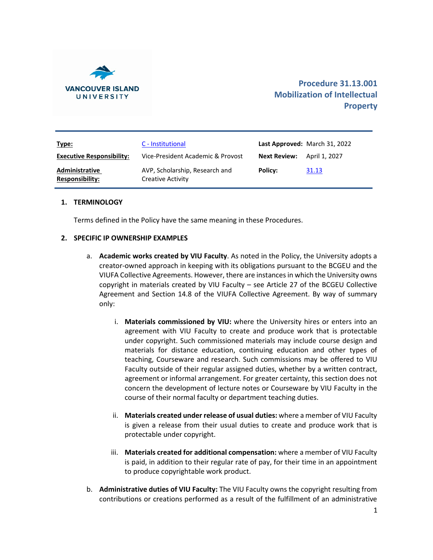

| Type:                                    | C - Institutional                                   |                     | Last Approved: March 31, 2022 |
|------------------------------------------|-----------------------------------------------------|---------------------|-------------------------------|
| <b>Executive Responsibility:</b>         | Vice-President Academic & Provost                   | <b>Next Review:</b> | April 1. 2027                 |
| Administrative<br><b>Responsibility:</b> | AVP, Scholarship, Research and<br>Creative Activity | Policy:             | 31.13                         |

## **1. TERMINOLOGY**

Terms defined in the Policy have the same meaning in these Procedures.

### **2. SPECIFIC IP OWNERSHIP EXAMPLES**

- a. **Academic works created by VIU Faculty**. As noted in the Policy, the University adopts a creator-owned approach in keeping with its obligations pursuant to the BCGEU and the VIUFA Collective Agreements. However, there are instances in which the University owns copyright in materials created by VIU Faculty – see Article 27 of the BCGEU Collective Agreement and Section 14.8 of the VIUFA Collective Agreement. By way of summary only:
	- i. **Materials commissioned by VIU:** where the University hires or enters into an agreement with VIU Faculty to create and produce work that is protectable under copyright. Such commissioned materials may include course design and materials for distance education, continuing education and other types of teaching, Courseware and research. Such commissions may be offered to VIU Faculty outside of their regular assigned duties, whether by a written contract, agreement or informal arrangement. For greater certainty, this section does not concern the development of lecture notes or Courseware by VIU Faculty in the course of their normal faculty or department teaching duties.
	- ii. **Materials created under release of usual duties:** where a member of VIU Faculty is given a release from their usual duties to create and produce work that is protectable under copyright.
	- iii. **Materials created for additional compensation:** where a member of VIU Faculty is paid, in addition to their regular rate of pay, for their time in an appointment to produce copyrightable work product.
- b. **Administrative duties of VIU Faculty:** The VIU Faculty owns the copyright resulting from contributions or creations performed as a result of the fulfillment of an administrative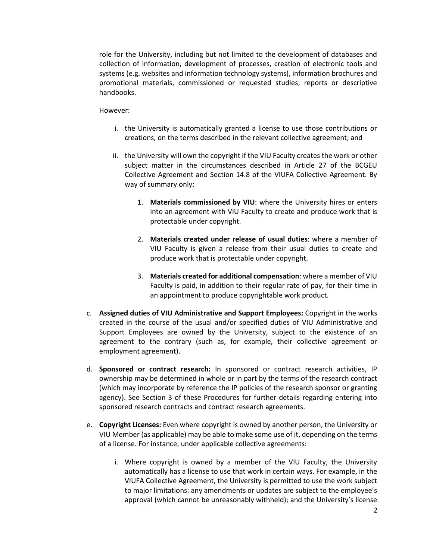role for the University, including but not limited to the development of databases and collection of information, development of processes, creation of electronic tools and systems (e.g. websites and information technology systems), information brochures and promotional materials, commissioned or requested studies, reports or descriptive handbooks.

### However:

- i. the University is automatically granted a license to use those contributions or creations, on the terms described in the relevant collective agreement; and
- ii. the University will own the copyright if the VIU Faculty creates the work or other subject matter in the circumstances described in Article 27 of the BCGEU Collective Agreement and Section 14.8 of the VIUFA Collective Agreement. By way of summary only:
	- 1. **Materials commissioned by VIU**: where the University hires or enters into an agreement with VIU Faculty to create and produce work that is protectable under copyright.
	- 2. **Materials created under release of usual duties**: where a member of VIU Faculty is given a release from their usual duties to create and produce work that is protectable under copyright.
	- 3. **Materials created for additional compensation**: where a member of VIU Faculty is paid, in addition to their regular rate of pay, for their time in an appointment to produce copyrightable work product.
- c. **Assigned duties of VIU Administrative and Support Employees:** Copyright in the works created in the course of the usual and/or specified duties of VIU Administrative and Support Employees are owned by the University, subject to the existence of an agreement to the contrary (such as, for example, their collective agreement or employment agreement).
- d. **Sponsored or contract research:** In sponsored or contract research activities, IP ownership may be determined in whole or in part by the terms of the research contract (which may incorporate by reference the IP policies of the research sponsor or granting agency). See Section 3 of these Procedures for further details regarding entering into sponsored research contracts and contract research agreements.
- e. **Copyright Licenses:** Even where copyright is owned by another person, the University or VIU Member (as applicable) may be able to make some use of it, depending on the terms of a license. For instance, under applicable collective agreements:
	- i. Where copyright is owned by a member of the VIU Faculty, the University automatically has a license to use that work in certain ways. For example, in the VIUFA Collective Agreement, the University is permitted to use the work subject to major limitations: any amendments or updates are subject to the employee's approval (which cannot be unreasonably withheld); and the University's license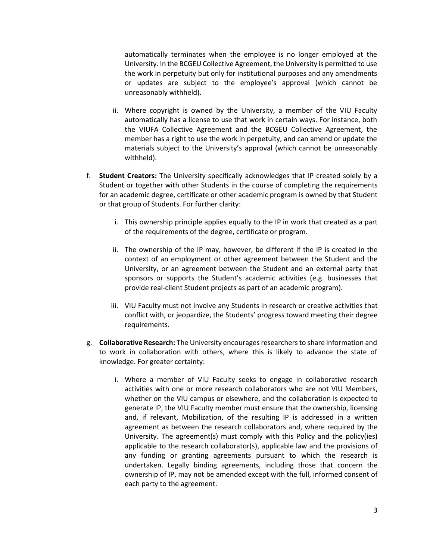automatically terminates when the employee is no longer employed at the University. In the BCGEU Collective Agreement, the University is permitted to use the work in perpetuity but only for institutional purposes and any amendments or updates are subject to the employee's approval (which cannot be unreasonably withheld).

- ii. Where copyright is owned by the University, a member of the VIU Faculty automatically has a license to use that work in certain ways. For instance, both the VIUFA Collective Agreement and the BCGEU Collective Agreement, the member has a right to use the work in perpetuity, and can amend or update the materials subject to the University's approval (which cannot be unreasonably withheld).
- f. **Student Creators:** The University specifically acknowledges that IP created solely by a Student or together with other Students in the course of completing the requirements for an academic degree, certificate or other academic program is owned by that Student or that group of Students. For further clarity:
	- i. This ownership principle applies equally to the IP in work that created as a part of the requirements of the degree, certificate or program.
	- ii. The ownership of the IP may, however, be different if the IP is created in the context of an employment or other agreement between the Student and the University, or an agreement between the Student and an external party that sponsors or supports the Student's academic activities (e.g. businesses that provide real-client Student projects as part of an academic program).
	- iii. VIU Faculty must not involve any Students in research or creative activities that conflict with, or jeopardize, the Students' progress toward meeting their degree requirements.
- g. **Collaborative Research:** The University encourages researchers to share information and to work in collaboration with others, where this is likely to advance the state of knowledge. For greater certainty:
	- i. Where a member of VIU Faculty seeks to engage in collaborative research activities with one or more research collaborators who are not VIU Members, whether on the VIU campus or elsewhere, and the collaboration is expected to generate IP, the VIU Faculty member must ensure that the ownership, licensing and, if relevant, Mobilization, of the resulting IP is addressed in a written agreement as between the research collaborators and, where required by the University. The agreement(s) must comply with this Policy and the policy(ies) applicable to the research collaborator(s), applicable law and the provisions of any funding or granting agreements pursuant to which the research is undertaken. Legally binding agreements, including those that concern the ownership of IP, may not be amended except with the full, informed consent of each party to the agreement.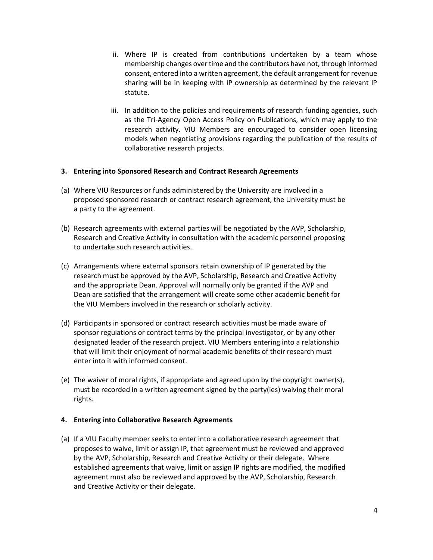- ii. Where IP is created from contributions undertaken by a team whose membership changes over time and the contributors have not, through informed consent, entered into a written agreement, the default arrangement for revenue sharing will be in keeping with IP ownership as determined by the relevant IP statute.
- iii. In addition to the policies and requirements of research funding agencies, such as the Tri-Agency Open Access Policy on Publications, which may apply to the research activity. VIU Members are encouraged to consider open licensing models when negotiating provisions regarding the publication of the results of collaborative research projects.

## **3. Entering into Sponsored Research and Contract Research Agreements**

- (a) Where VIU Resources or funds administered by the University are involved in a proposed sponsored research or contract research agreement, the University must be a party to the agreement.
- (b) Research agreements with external parties will be negotiated by the AVP, Scholarship, Research and Creative Activity in consultation with the academic personnel proposing to undertake such research activities.
- (c) Arrangements where external sponsors retain ownership of IP generated by the research must be approved by the AVP, Scholarship, Research and Creative Activity and the appropriate Dean. Approval will normally only be granted if the AVP and Dean are satisfied that the arrangement will create some other academic benefit for the VIU Members involved in the research or scholarly activity.
- (d) Participants in sponsored or contract research activities must be made aware of sponsor regulations or contract terms by the principal investigator, or by any other designated leader of the research project. VIU Members entering into a relationship that will limit their enjoyment of normal academic benefits of their research must enter into it with informed consent.
- (e) The waiver of moral rights, if appropriate and agreed upon by the copyright owner(s), must be recorded in a written agreement signed by the party(ies) waiving their moral rights.

#### **4. Entering into Collaborative Research Agreements**

(a) If a VIU Faculty member seeks to enter into a collaborative research agreement that proposes to waive, limit or assign IP, that agreement must be reviewed and approved by the AVP, Scholarship, Research and Creative Activity or their delegate. Where established agreements that waive, limit or assign IP rights are modified, the modified agreement must also be reviewed and approved by the AVP, Scholarship, Research and Creative Activity or their delegate.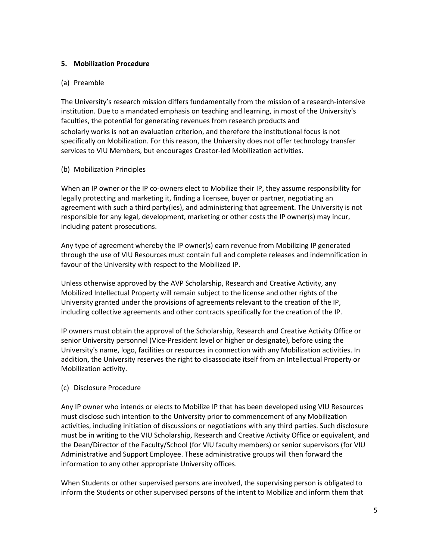## **5. Mobilization Procedure**

# (a) Preamble

The University's research mission differs fundamentally from the mission of a research-intensive institution. Due to a mandated emphasis on teaching and learning, in most of the University's faculties, the potential for generating revenues from research products and scholarly works is not an evaluation criterion, and therefore the institutional focus is not specifically on Mobilization. For this reason, the University does not offer technology transfer services to VIU Members, but encourages Creator-led Mobilization activities.

# (b) Mobilization Principles

When an IP owner or the IP co-owners elect to Mobilize their IP, they assume responsibility for legally protecting and marketing it, finding a licensee, buyer or partner, negotiating an agreement with such a third party(ies), and administering that agreement. The University is not responsible for any legal, development, marketing or other costs the IP owner(s) may incur, including patent prosecutions.

Any type of agreement whereby the IP owner(s) earn revenue from Mobilizing IP generated through the use of VIU Resources must contain full and complete releases and indemnification in favour of the University with respect to the Mobilized IP.

Unless otherwise approved by the AVP Scholarship, Research and Creative Activity, any Mobilized Intellectual Property will remain subject to the license and other rights of the University granted under the provisions of agreements relevant to the creation of the IP, including collective agreements and other contracts specifically for the creation of the IP.

IP owners must obtain the approval of the Scholarship, Research and Creative Activity Office or senior University personnel (Vice-President level or higher or designate), before using the University's name, logo, facilities or resources in connection with any Mobilization activities. In addition, the University reserves the right to disassociate itself from an Intellectual Property or Mobilization activity.

# (c) Disclosure Procedure

Any IP owner who intends or elects to Mobilize IP that has been developed using VIU Resources must disclose such intention to the University prior to commencement of any Mobilization activities, including initiation of discussions or negotiations with any third parties. Such disclosure must be in writing to the VIU Scholarship, Research and Creative Activity Office or equivalent, and the Dean/Director of the Faculty/School (for VIU faculty members) or senior supervisors (for VIU Administrative and Support Employee. These administrative groups will then forward the information to any other appropriate University offices.

When Students or other supervised persons are involved, the supervising person is obligated to inform the Students or other supervised persons of the intent to Mobilize and inform them that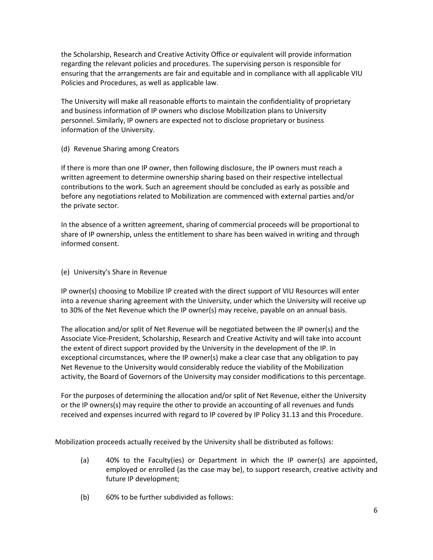the Scholarship, Research and Creative Activity Office or equivalent will provide information regarding the relevant policies and procedures. The supervising person is responsible for ensuring that the arrangements are fair and equitable and in compliance with all applicable VIU Policies and Procedures, as well as applicable law.

The University will make all reasonable efforts to maintain the confidentiality of proprietary and business information of IP owners who disclose Mobilization plans to University personnel. Similarly, IP owners are expected not to disclose proprietary or business information of the University.

(d) Revenue Sharing among Creators

If there is more than one IP owner, then following disclosure, the IP owners must reach a written agreement to determine ownership sharing based on their respective intellectual contributions to the work. Such an agreement should be concluded as early as possible and before any negotiations related to Mobilization are commenced with external parties and/or the private sector.

In the absence of a written agreement, sharing of commercial proceeds will be proportional to share of IP ownership, unless the entitlement to share has been waived in writing and through informed consent.

(e) University's Share in Revenue

IP owner(s) choosing to Mobilize IP created with the direct support of VIU Resources will enter into a revenue sharing agreement with the University, under which the University will receive up to 30% of the Net Revenue which the IP owner(s) may receive, payable on an annual basis.

The allocation and/or split of Net Revenue will be negotiated between the IP owner(s) and the Associate Vice-President, Scholarship, Research and Creative Activity and will take into account the extent of direct support provided by the University in the development of the IP. In exceptional circumstances, where the IP owner(s) make a clear case that any obligation to pay Net Revenue to the University would considerably reduce the viability of the Mobilization activity, the Board of Governors of the University may consider modifications to this percentage.

For the purposes of determining the allocation and/or split of Net Revenue, either the University or the IP owners(s) may require the other to provide an accounting of all revenues and funds received and expenses incurred with regard to IP covered by IP Policy 31.13 and this Procedure.

Mobilization proceeds actually received by the University shall be distributed as follows:

- (a) 40% to the Faculty(ies) or Department in which the IP owner(s) are appointed, employed or enrolled (as the case may be), to support research, creative activity and future IP development;
- (b) 60% to be further subdivided as follows: